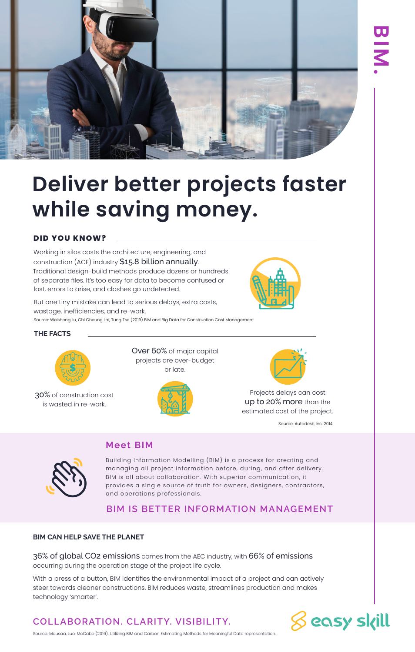

# **Deliver better projects faster while saving money.**

### **DID YOU KNOW?**

Working in silos costs the architecture, engineering, and construction (ACE) industry \$15.8 billion annually. Traditional design-build methods produce dozens or hundreds of separate files. It's too easy for data to become confused or lost, errors to arise, and clashes go undetected.

But one tiny mistake can lead to serious delays, extra costs, wastage, inefficiencies, and re-work. Source: Weisheng Lu, Chi Cheung Lai, Tung Tse (2019) BIM and Big Data for Construction Cost Management

#### **THE FACTS**



30% of construction cost is wasted in re-work.

Over 60% of major capital projects are over-budget or late.





Projects delays can cost up to 20% more than the estimated cost of the project.

Source: Autodesk, Inc. 2014

## **Meet BIM**

Building Information Modelling (BIM) is a process for creating and managing all project information before, during, and after delivery. BIM is all about collaboration. With superior communication, it provides a single source of truth for owners, designers, contractors, and operations professionals.

## **BIM IS BETTER INFORMATION MANAGEMENT**

#### **BIM CAN HELP SAVE THE PLANET**

36% of global CO2 emissions comes from the AEC industry, with 66% of emissions occurring during the operation stage of the project life cycle.

With a press of a button, BIM identifies the environmental impact of a project and can actively steer towards cleaner constructions. BIM reduces waste, streamlines production and makes technology 'smarter'.

## **COLLABORATION. CLARITY. VISIBILITY.**



Source: Mousaa, Luo, McCabe (2016). Utilizing BIM and Carbon Estimating Methods for Meaningful Data representation.